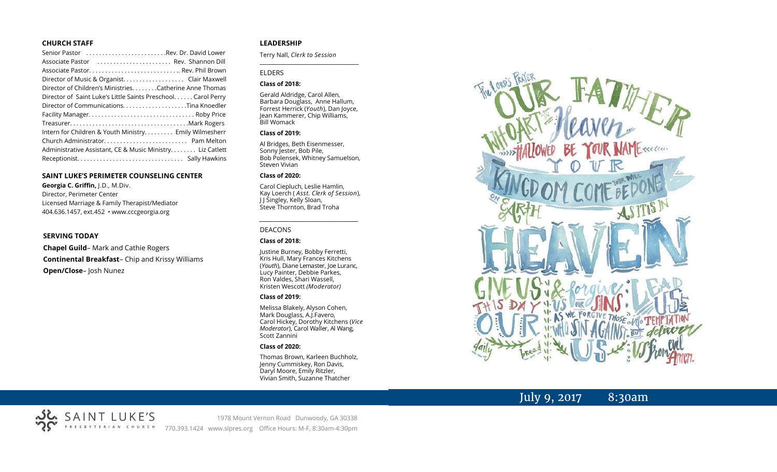#### **CHURCH STAFF**

| Senior Pastor Rev. Dr. David Lower                           |
|--------------------------------------------------------------|
| Associate Pastor  Rev. Shannon Dill                          |
|                                                              |
|                                                              |
| Director of Children's Ministries. Catherine Anne Thomas     |
| Director of Saint Luke's Little Saints Preschool Carol Perry |
|                                                              |
|                                                              |
|                                                              |
| Intern for Children & Youth Ministry Emily Wilmesherr        |
|                                                              |
| Administrative Assistant, CE & Music Ministry Liz Catlett    |
|                                                              |

#### **SAINT LUKE'S PERIMETER COUNSELING CENTER**

**Georgia C. Griffin,** J.D., M.Div. Director, Perimeter Center Licensed Marriage & Family Therapist/Mediator 404.636.1457, ext.452 • www.cccgeorgia.org

#### **SERVING TODAY**

**Chapel Guild**– Mark and Cathie Rogers **Continental Breakfast**– Chip and Krissy Williams **Open/Close**– Josh Nunez

#### **LEADERSHIP**

Terry Nall, *Clerk to Session* 

#### ELDERS

#### **Class of 2018:**

Gerald Aldridge, Carol Allen, Barbara Douglass, Anne Hallum, Forrest Herrick (*Youth*), Dan Joyce, Jean Kammerer, Chip Williams, Bill Womack

**\_\_\_\_\_\_\_\_\_\_\_\_\_\_\_\_\_\_\_\_\_\_\_\_\_\_\_\_\_\_\_\_\_\_\_\_\_\_\_**

#### **Class of 2019:**

Al Bridges, Beth Eisenmesser, Sonny Jester, Bob Pile, Bob Polensek, Whitney Samuelson, Steven Vivian

#### **Class of 2020:**

Carol Ciepluch, Leslie Hamlin, Kay Loerch ( *Asst. Clerk of Session*), J J Singley, Kelly Sloan, Steve Thornton, Brad Troha

*\_\_\_\_\_\_\_\_\_\_\_\_\_\_\_\_\_\_\_\_\_\_\_\_\_\_\_\_\_\_\_\_\_\_\_\_\_*

#### DEACONS

#### **Class of 2018:**

Justine Burney, Bobby Ferretti, Kris Hull, Mary Frances Kitchens (*Youth*), Diane Lemaster, Joe Luranc, Lucy Painter, Debbie Parkes, Ron Valdes, Shari Wassell, Kristen Wescott *(Moderator)*

#### **Class of 2019:**

Melissa Blakely, Alyson Cohen, Mark Douglass, A.J.Favero, Carol Hickey, Dorothy Kitchens (*Vice Moderator*), Carol Waller, Al Wang, Scott Zannini

#### **Class of 2020:**

Thomas Brown, Karleen Buchholz, Jenny Cummiskey, Ron Davis, Daryl Moore, Emily Ritzler, Vivian Smith, Suzanne Thatcher



# July 9, 2017 8:30am



SAINT LUKE'S PRESBYTERIAN CHURCH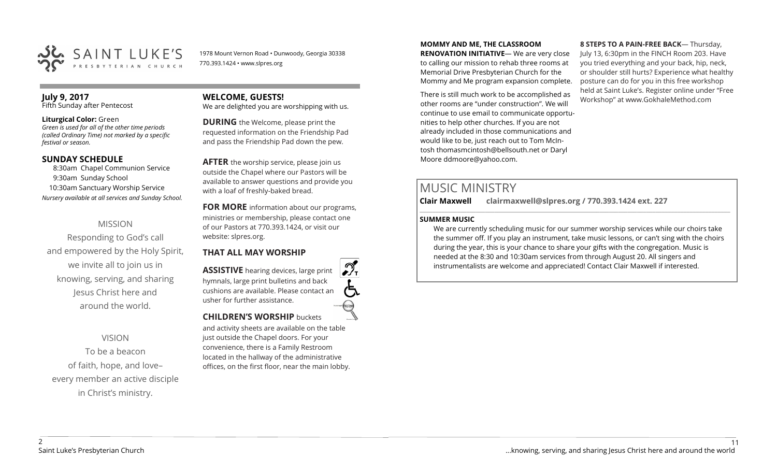

1978 Mount Vernon Road • Dunwoody, Georgia 30338 770.393.1424 • www.slpres.org

# **July 9, 2017**

Fifth Sunday after Pentecost

#### **Liturgical Color:** Green

*Green is used for all of the other time periods (called Ordinary Time) not marked by a specific festival or season.*

#### **SUNDAY SCHEDULE**

8:30am Chapel Communion Service 9:30am Sunday School 10:30am Sanctuary Worship Service *Nursery available at all services and Sunday School.*

# MISSION

Responding to God's call and empowered by the Holy Spirit, we invite all to join us in knowing, serving, and sharing Jesus Christ here and around the world.

## VISION

To be a beacon of faith, hope, and love– every member an active disciple in Christ's ministry.

#### **WELCOME, GUESTS!**  We are delighted you are worshipping with us.

**DURING** the Welcome, please print the requested information on the Friendship Pad and pass the Friendship Pad down the pew.

**AFTER** the worship service, please join us outside the Chapel where our Pastors will be available to answer questions and provide you with a loaf of freshly-baked bread.

**FOR MORE** information about our programs, ministries or membership, please contact one of our Pastors at 770.393.1424, or visit our website: slpres.org.

## **THAT ALL MAY WORSHIP**

**ASSISTIVE** hearing devices, large print hymnals, large print bulletins and back cushions are available. Please contact an usher for further assistance. **CHILDREN'S WORSHIP** buckets

and activity sheets are available on the table just outside the Chapel doors. For your convenience, there is a Family Restroom located in the hallway of the administrative offices, on the first floor, near the main lobby.

#### **MOMMY AND ME, THE CLASSROOM**

**RENOVATION INITIATIVE**— We are very close to calling our mission to rehab three rooms at Memorial Drive Presbyterian Church for the Mommy and Me program expansion complete.

There is still much work to be accomplished as other rooms are "under construction". We will continue to use email to communicate opportunities to help other churches. If you are not already included in those communications and would like to be, just reach out to Tom McIntosh [thomasmcintosh@bellsouth.net](mailto:thomasmcintosh@bellsouth.net) or Daryl Moore [ddmoore@yahoo.com.](mailto:ddmoore@yahoo.com)

**8 STEPS TO A PAIN-FREE BACK**— Thursday, July 13, 6:30pm in the FINCH Room 203. Have you tried everything and your back, hip, neck, or shoulder still hurts? Experience what healthy posture can do for you in this free workshop held at Saint Luke's. Register online under "Free Workshop" at www.GokhaleMethod.com

# MUSIC MINISTRY

**Clair Maxwell clairmaxwell@slpres.org / 770.393.1424 ext. 227** 

#### **SUMMER MUSIC**

We are currently scheduling music for our summer worship services while our choirs take the summer off. If you play an instrument, take music lessons, or can't sing with the choirs during the year, this is your chance to share your gifts with the congregation. Music is needed at the 8:30 and 10:30am services from through August 20. All singers and instrumentalists are welcome and appreciated! Contact Clair Maxwell if interested.

\_\_\_\_\_\_\_\_\_\_\_\_\_\_\_\_\_\_\_\_\_\_\_\_\_\_\_\_\_\_\_\_\_\_\_\_\_\_\_\_\_\_\_\_\_\_\_\_\_\_\_\_\_\_\_\_\_\_\_\_\_\_\_\_\_\_\_\_\_\_\_\_\_\_\_\_\_\_\_\_\_\_\_\_\_\_\_\_\_\_\_\_\_\_\_\_\_\_\_\_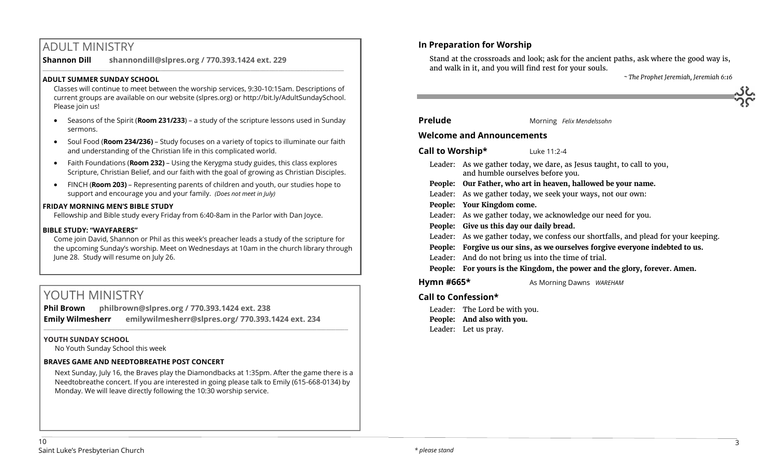# ADULT MINISTRY

**Shannon Dill shannondill@slpres.org / 770.393.1424 ext. 229**   $\_$  ,  $\_$  ,  $\_$  ,  $\_$  ,  $\_$  ,  $\_$  ,  $\_$  ,  $\_$  ,  $\_$  ,  $\_$  ,  $\_$  ,  $\_$  ,  $\_$  ,  $\_$  ,  $\_$  ,  $\_$  ,  $\_$  ,  $\_$  ,  $\_$  ,  $\_$ 

### **ADULT SUMMER SUNDAY SCHOOL**

Classes will continue to meet between the worship services, 9:30-10:15am. Descriptions of current groups are available on our website (slpres.org) or http://bit.ly/AdultSundaySchool. Please join us!

- Seasons of the Spirit (**Room 231/233**) a study of the scripture lessons used in Sunday sermons.
- Soul Food (**Room 234/236)**  Study focuses on a variety of topics to illuminate our faith and understanding of the Christian life in this complicated world.
- Faith Foundations (**Room 232)**  Using the Kerygma study guides, this class explores Scripture, Christian Belief, and our faith with the goal of growing as Christian Disciples.
- FINCH (**Room 203)** Representing parents of children and youth, our studies hope to support and encourage you and your family. *(Does not meet in July)*

#### **FRIDAY MORNING MEN'S BIBLE STUDY**

Fellowship and Bible study every Friday from 6:40-8am in the Parlor with Dan Joyce.

#### **BIBLE STUDY: "WAYFARERS"**

Come join David, Shannon or Phil as this week's preacher leads a study of the scripture for the upcoming Sunday's worship. Meet on Wednesdays at 10am in the church library through June 28. Study will resume on July 26.

# YOUTH MINISTRY

**Phil Brown philbrown@slpres.org / 770.393.1424 ext. 238 Emily Wilmesherr emilywilmesherr@slpres.org/ 770.393.1424 ext. 234**   $\_$  ,  $\_$  ,  $\_$  ,  $\_$  ,  $\_$  ,  $\_$  ,  $\_$  ,  $\_$  ,  $\_$  ,  $\_$  ,  $\_$  ,  $\_$  ,  $\_$  ,  $\_$  ,  $\_$  ,  $\_$  ,  $\_$  ,  $\_$  ,  $\_$  ,  $\_$  ,  $\_$  ,  $\_$  ,  $\_$  ,  $\_$  ,  $\_$  ,  $\_$  ,  $\_$  ,  $\_$  ,  $\_$  ,  $\_$  ,  $\_$  ,  $\_$  ,  $\_$  ,  $\_$  ,  $\_$  ,  $\_$  ,  $\_$  ,

#### **YOUTH SUNDAY SCHOOL**

No Youth Sunday School this week

#### **BRAVES GAME AND NEEDTOBREATHE POST CONCERT**

Next Sunday, July 16, the Braves play the Diamondbacks at 1:35pm. After the game there is a Needtobreathe concert. If you are interested in going please talk to Emily (615-668-0134) by Monday. We will leave directly following the 10:30 worship service.

# **In Preparation for Worship**

Stand at the crossroads and look; ask for the ancient paths, ask where the good way is, and walk in it, and you will find rest for your souls.

*~ The Prophet Jeremiah, Jeremiah 6:16*

| . . | $\approx$ |
|-----|-----------|
|     | ∽         |
|     |           |

**Prelude** Morning *Felix Mendelssohn* 

### **Welcome and Announcements**

**Call to Worship\*** Luke 11:2-4

- Leader: As we gather today, we dare, as Jesus taught, to call to you, and humble ourselves before you.
- **People: Our Father, who art in heaven, hallowed be your name.**
- Leader: As we gather today, we seek your ways, not our own:
- **People: Your Kingdom come.**
- Leader: As we gather today, we acknowledge our need for you.
- **People: Give us this day our daily bread.**
- Leader: As we gather today, we confess our shortfalls, and plead for your keeping.
- **People: Forgive us our sins, as we ourselves forgive everyone indebted to us.**
- Leader: And do not bring us into the time of trial.

#### **People: For yours is the Kingdom, the power and the glory, forever. Amen.**

**Hymn #665\*** As Morning Dawns *WAREHAM* 

# **Call to Confession\***

Leader: The Lord be with you. **People: And also with you.** Leader: Let us pray.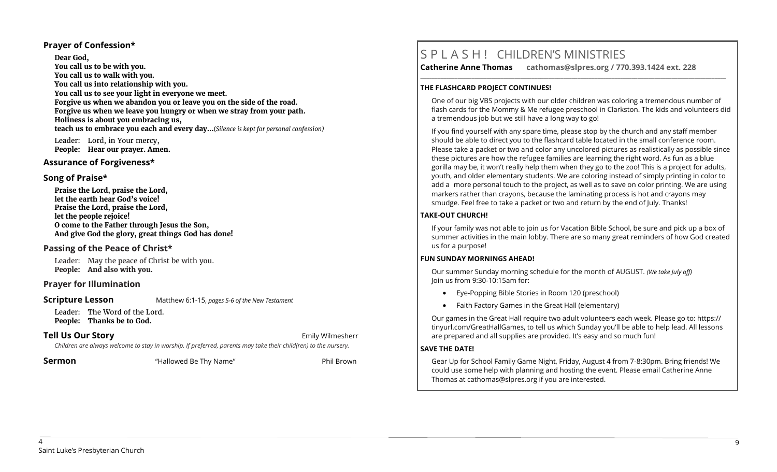#### **Prayer of Confession\***

**Dear God, You call us to be with you. You call us to walk with you. You call us into relationship with you. You call us to see your light in everyone we meet. Forgive us when we abandon you or leave you on the side of the road. Forgive us when we leave you hungry or when we stray from your path. Holiness is about you embracing us, teach us to embrace you each and every day...**(*Silence is kept for personal confession)* 

Leader: Lord, in Your mercy, **People: Hear our prayer. Amen.**

#### **Assurance of Forgiveness\***

#### **Song of Praise\***

**Praise the Lord, praise the Lord, let the earth hear God's voice! Praise the Lord, praise the Lord, let the people rejoice! O come to the Father through Jesus the Son, And give God the glory, great things God has done!** 

## **Passing of the Peace of Christ\***

Leader: May the peace of Christ be with you. **People: And also with you.**

## **Prayer for Illumination**

#### **Scripture Lesson** Matthew 6:1-15, *pages 5-6 of the New Testament*

Leader: The Word of the Lord. **People: Thanks be to God.**

# **Tell Us Our Story Emily Wilmesherr Emily Wilmesherr**

*Children are always welcome to stay in worship. If preferred, parents may take their child(ren) to the nursery.*

**Sermon** "Hallowed Be Thy Name" Phil Brown

# S P L A S H ! CHILDREN'S MINISTRIES

**Catherine Anne Thomas cathomas@slpres.org / 770.393.1424 ext. 228 \_\_\_\_\_\_\_\_\_\_\_\_\_\_\_\_\_\_\_\_\_\_\_\_\_\_\_\_\_\_\_\_\_\_\_\_\_\_\_\_\_\_\_\_\_\_\_\_\_\_\_\_\_\_\_\_\_\_\_\_\_\_\_\_\_\_\_\_\_\_\_\_\_\_\_\_\_\_\_\_\_\_\_\_\_\_\_\_\_\_\_\_\_\_\_\_\_\_\_\_\_\_\_\_\_\_\_** 

#### **THE FLASHCARD PROJECT CONTINUES!**

One of our big VBS projects with our older children was coloring a tremendous number of flash cards for the Mommy & Me refugee preschool in Clarkston. The kids and volunteers did a tremendous job but we still have a long way to go!

If you find yourself with any spare time, please stop by the church and any staff member should be able to direct you to the flashcard table located in the small conference room. Please take a packet or two and color any uncolored pictures as realistically as possible since these pictures are how the refugee families are learning the right word. As fun as a blue gorilla may be, it won't really help them when they go to the zoo! This is a project for adults, youth, and older elementary students. We are coloring instead of simply printing in color to add a more personal touch to the project, as well as to save on color printing. We are using markers rather than crayons, because the laminating process is hot and crayons may smudge. Feel free to take a packet or two and return by the end of July. Thanks!

### **TAKE-OUT CHURCH!**

If your family was not able to join us for Vacation Bible School, be sure and pick up a box of summer activities in the main lobby. There are so many great reminders of how God created us for a purpose!

#### **FUN SUNDAY MORNINGS AHEAD!**

Our summer Sunday morning schedule for the month of AUGUST. *(We take July off)*  Join us from 9:30-10:15am for:

- Eye-Popping Bible Stories in Room 120 (preschool)
- Faith Factory Games in the Great Hall (elementary)

Our games in the Great Hall require two adult volunteers each week. Please go to: https:// tinyurl.com/GreatHallGames, to tell us which Sunday you'll be able to help lead. All lessons are prepared and all supplies are provided. It's easy and so much fun!

#### **SAVE THE DATE!**

Gear Up for School Family Game Night, Friday, August 4 from 7-8:30pm. Bring friends! We could use some help with planning and hosting the event. Please email Catherine Anne Thomas at cathomas@slpres.org if you are interested.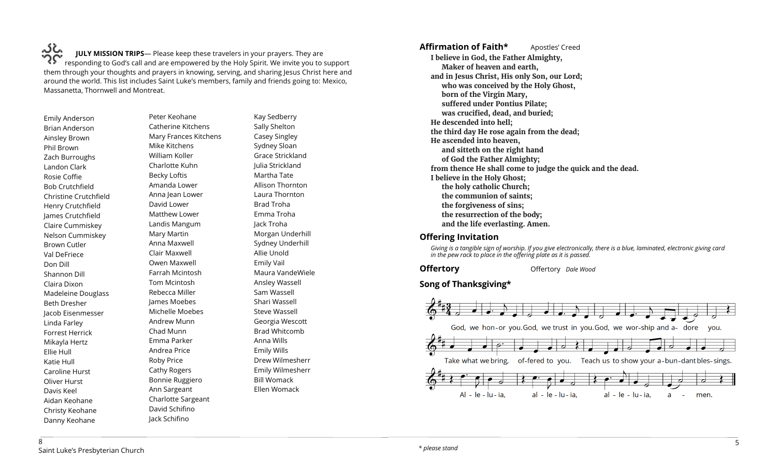،خکہ **JULY MISSION TRIPS**— Please keep these travelers in your prayers. They are responding to God's call and are empowered by the Holy Spirit. We invite you to support them through your thoughts and prayers in knowing, serving, and sharing Jesus Christ here and around the world. This list includes Saint Luke's members, family and friends going to: Mexico, Massanetta, Thornwell and Montreat.

Emily Anderson Brian Anderson Ainsley Brown Phil Brown Zach Burroughs Landon Clark Rosie Coffie Bob Crutchfield Christine Crutchfield Henry Crutchfield James Crutchfield Claire Cummiskey Nelson Cummiskey Brown Cutler Val DeFriece Don Dill Shannon Dill Claira Dixon Madeleine Douglass Beth Dresher Jacob Eisenmesser Linda Farley Forrest Herrick Mikayla Hertz Ellie Hull Katie Hull Caroline Hurst Oliver Hurst Davis Keel Aidan Keohane Christy Keohane Danny Keohane

Peter Keohane Catherine Kitchens Mary Frances Kitchens Mike Kitchens William Koller Charlotte Kuhn Becky Loftis Amanda Lower Anna Jean Lower David Lower Matthew Lower Landis Mangum Mary Martin Anna Maxwell Clair Maxwell Owen Maxwell Farrah Mcintosh Tom Mcintosh Rebecca Miller James Moebes Michelle Moebes Andrew Munn Chad Munn Emma Parker Andrea Price Roby Price Cathy Rogers Bonnie Ruggiero Ann Sargeant Charlotte Sargeant David Schifino

Jack Schifino

Kay Sedberry Sally Shelton Casey Singley Sydney Sloan Grace Strickland Julia Strickland Martha Tate Allison Thornton Laura Thornton Brad Troha Emma Troha Jack Troha Morgan Underhill Sydney Underhill Allie Unold Emily Vail Maura VandeWiele Ansley Wassell Sam Wassell Shari Wassell Steve Wassell Georgia Wescott Brad Whitcomb Anna Wills Emily Wills Drew Wilmesherr Emily Wilmesherr Bill Womack Ellen Womack

**Affirmation of Faith\*** Apostles' Creed **I believe in God, the Father Almighty, Maker of heaven and earth, and in Jesus Christ, His only Son, our Lord; who was conceived by the Holy Ghost, born of the Virgin Mary, suffered under Pontius Pilate; was crucified, dead, and buried; He descended into hell; the third day He rose again from the dead; He ascended into heaven, and sitteth on the right hand of God the Father Almighty; from thence He shall come to judge the quick and the dead. I believe in the Holy Ghost; the holy catholic Church; the communion of saints; the forgiveness of sins; the resurrection of the body; and the life everlasting. Amen.**

## **Offering Invitation**

*Giving is a tangible sign of worship. If you give electronically, there is a blue, laminated, electronic giving card in the pew rack to place in the offering plate as it is passed.*

**Offertory Offertory** *Dale Wood* 

# **Song of Thanksgiving\***